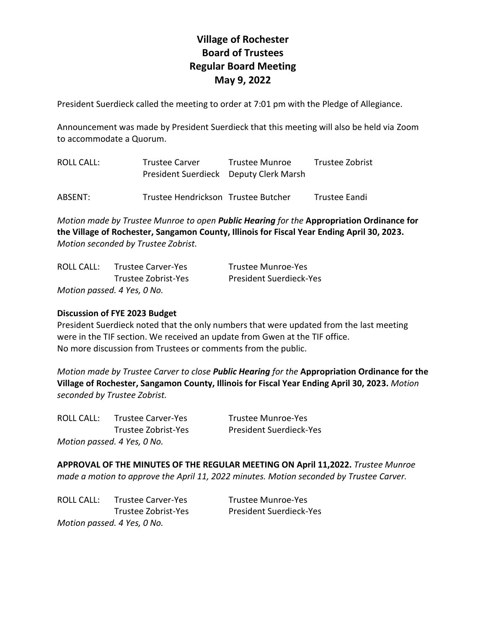# **Village of Rochester Board of Trustees Regular Board Meeting May 9, 2022**

President Suerdieck called the meeting to order at 7:01 pm with the Pledge of Allegiance.

Announcement was made by President Suerdieck that this meeting will also be held via Zoom to accommodate a Quorum.

| ROLL CALL: | <b>Trustee Carver</b><br>President Suerdieck Deputy Clerk Marsh | Trustee Munroe | Trustee Zobrist |
|------------|-----------------------------------------------------------------|----------------|-----------------|
| ABSENT:    | Trustee Hendrickson Trustee Butcher                             |                | Trustee Eandi   |

*Motion made by Trustee Munroe to open Public Hearing for the* **Appropriation Ordinance for the Village of Rochester, Sangamon County, Illinois for Fiscal Year Ending April 30, 2023.** *Motion seconded by Trustee Zobrist.*

| ROLL CALL: | <b>Trustee Carver-Yes</b>   | Trustee Munroe-Yes             |
|------------|-----------------------------|--------------------------------|
|            | Trustee Zobrist-Yes         | <b>President Suerdieck-Yes</b> |
|            | Motion passed. 4 Yes, 0 No. |                                |

# **Discussion of FYE 2023 Budget**

President Suerdieck noted that the only numbers that were updated from the last meeting were in the TIF section. We received an update from Gwen at the TIF office. No more discussion from Trustees or comments from the public.

*Motion made by Trustee Carver to close Public Hearing for the* **Appropriation Ordinance for the Village of Rochester, Sangamon County, Illinois for Fiscal Year Ending April 30, 2023.** *Motion seconded by Trustee Zobrist.*

ROLL CALL: Trustee Carver-Yes Trustee Munroe-Yes *Motion passed. 4 Yes, 0 No.*

Trustee Zobrist-Yes President Suerdieck-Yes

**APPROVAL OF THE MINUTES OF THE REGULAR MEETING ON April 11,2022.** *Trustee Munroe made a motion to approve the April 11, 2022 minutes. Motion seconded by Trustee Carver.* 

ROLL CALL: Trustee Carver-Yes Trustee Munroe-Yes *Motion passed. 4 Yes, 0 No.*

Trustee Zobrist-Yes President Suerdieck-Yes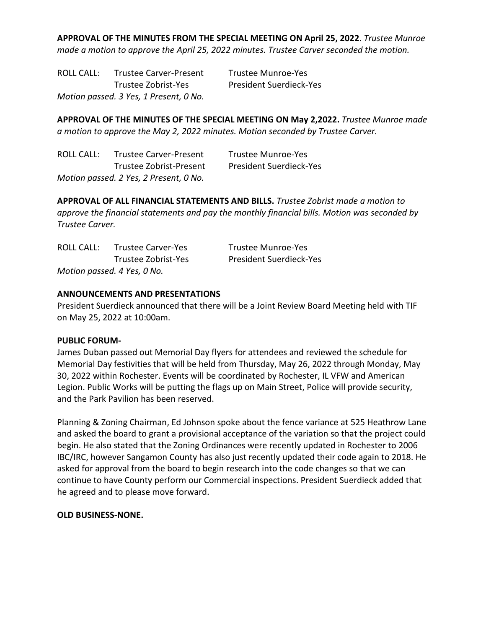**APPROVAL OF THE MINUTES FROM THE SPECIAL MEETING ON April 25, 2022**. *Trustee Munroe made a motion to approve the April 25, 2022 minutes. Trustee Carver seconded the motion.*

ROLL CALL: Trustee Carver-Present Trustee Munroe-Yes Trustee Zobrist-Yes President Suerdieck-Yes *Motion passed. 3 Yes, 1 Present, 0 No.*

**APPROVAL OF THE MINUTES OF THE SPECIAL MEETING ON May 2,2022.** *Trustee Munroe made a motion to approve the May 2, 2022 minutes. Motion seconded by Trustee Carver.* 

| ROLL CALL: | <b>Trustee Carver-Present</b>          | Trustee Munroe-Yes             |
|------------|----------------------------------------|--------------------------------|
|            | Trustee Zobrist-Present                | <b>President Suerdieck-Yes</b> |
|            | Motion passed. 2 Yes, 2 Present, 0 No. |                                |

**APPROVAL OF ALL FINANCIAL STATEMENTS AND BILLS.** *Trustee Zobrist made a motion to approve the financial statements and pay the monthly financial bills. Motion was seconded by Trustee Carver.* 

| ROLL CALL: | <b>Trustee Carver-Yes</b>   | Trustee Munroe-Yes             |
|------------|-----------------------------|--------------------------------|
|            | Trustee Zobrist-Yes         | <b>President Suerdieck-Yes</b> |
|            | Motion passed. 4 Yes, 0 No. |                                |

# **ANNOUNCEMENTS AND PRESENTATIONS**

President Suerdieck announced that there will be a Joint Review Board Meeting held with TIF on May 25, 2022 at 10:00am.

#### **PUBLIC FORUM-**

James Duban passed out Memorial Day flyers for attendees and reviewed the schedule for Memorial Day festivities that will be held from Thursday, May 26, 2022 through Monday, May 30, 2022 within Rochester. Events will be coordinated by Rochester, IL VFW and American Legion. Public Works will be putting the flags up on Main Street, Police will provide security, and the Park Pavilion has been reserved.

Planning & Zoning Chairman, Ed Johnson spoke about the fence variance at 525 Heathrow Lane and asked the board to grant a provisional acceptance of the variation so that the project could begin. He also stated that the Zoning Ordinances were recently updated in Rochester to 2006 IBC/IRC, however Sangamon County has also just recently updated their code again to 2018. He asked for approval from the board to begin research into the code changes so that we can continue to have County perform our Commercial inspections. President Suerdieck added that he agreed and to please move forward.

#### **OLD BUSINESS-NONE.**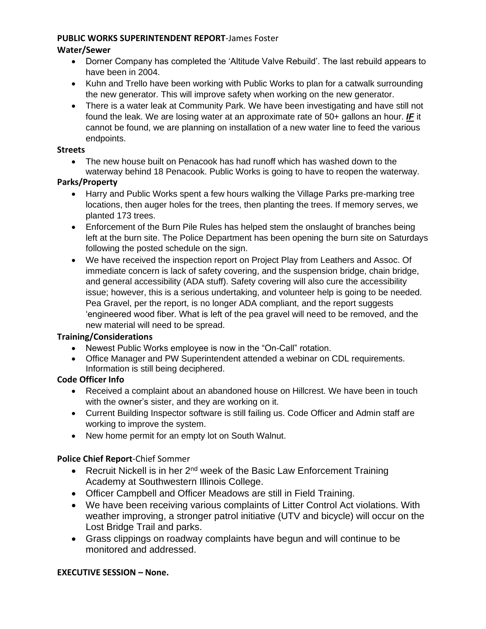#### **PUBLIC WORKS SUPERINTENDENT REPORT**-James Foster

## **Water/Sewer**

- Dorner Company has completed the 'Altitude Valve Rebuild'. The last rebuild appears to have been in 2004.
- Kuhn and Trello have been working with Public Works to plan for a catwalk surrounding the new generator. This will improve safety when working on the new generator.
- There is a water leak at Community Park. We have been investigating and have still not found the leak. We are losing water at an approximate rate of 50+ gallons an hour. *IF* it cannot be found, we are planning on installation of a new water line to feed the various endpoints.

#### **Streets**

• The new house built on Penacook has had runoff which has washed down to the waterway behind 18 Penacook. Public Works is going to have to reopen the waterway.

#### **Parks/Property**

- Harry and Public Works spent a few hours walking the Village Parks pre-marking tree locations, then auger holes for the trees, then planting the trees. If memory serves, we planted 173 trees.
- Enforcement of the Burn Pile Rules has helped stem the onslaught of branches being left at the burn site. The Police Department has been opening the burn site on Saturdays following the posted schedule on the sign.
- We have received the inspection report on Project Play from Leathers and Assoc. Of immediate concern is lack of safety covering, and the suspension bridge, chain bridge, and general accessibility (ADA stuff). Safety covering will also cure the accessibility issue; however, this is a serious undertaking, and volunteer help is going to be needed. Pea Gravel, per the report, is no longer ADA compliant, and the report suggests 'engineered wood fiber. What is left of the pea gravel will need to be removed, and the new material will need to be spread.

# **Training/Considerations**

- Newest Public Works employee is now in the "On-Call" rotation.
- Office Manager and PW Superintendent attended a webinar on CDL requirements. Information is still being deciphered.

#### **Code Officer Info**

- Received a complaint about an abandoned house on Hillcrest. We have been in touch with the owner's sister, and they are working on it.
- Current Building Inspector software is still failing us. Code Officer and Admin staff are working to improve the system.
- New home permit for an empty lot on South Walnut.

# **Police Chief Report**-Chief Sommer

- Recruit Nickell is in her  $2^{nd}$  week of the Basic Law Enforcement Training Academy at Southwestern Illinois College.
- Officer Campbell and Officer Meadows are still in Field Training.
- We have been receiving various complaints of Litter Control Act violations. With weather improving, a stronger patrol initiative (UTV and bicycle) will occur on the Lost Bridge Trail and parks.
- Grass clippings on roadway complaints have begun and will continue to be monitored and addressed.

# **EXECUTIVE SESSION – None.**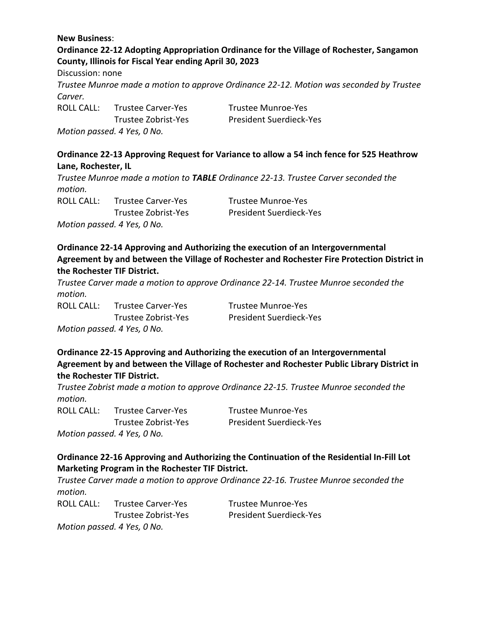#### **New Business**:

**Ordinance 22-12 Adopting Appropriation Ordinance for the Village of Rochester, Sangamon County, Illinois for Fiscal Year ending April 30, 2023**

Discussion: none

*Trustee Munroe made a motion to approve Ordinance 22-12. Motion was seconded by Trustee Carver.*

ROLL CALL: Trustee Carver-Yes Trustee Munroe-Yes *Motion passed. 4 Yes, 0 No.*

Trustee Zobrist-Yes President Suerdieck-Yes

## **Ordinance 22-13 Approving Request for Variance to allow a 54 inch fence for 525 Heathrow Lane, Rochester, IL**

*Trustee Munroe made a motion to TABLE Ordinance 22-13. Trustee Carver seconded the motion.*  ROLL CALL: Trustee Carver-Yes Trustee Munroe-Yes

*Motion passed. 4 Yes, 0 No.*

Trustee Zobrist-Yes President Suerdieck-Yes

# **Ordinance 22-14 Approving and Authorizing the execution of an Intergovernmental Agreement by and between the Village of Rochester and Rochester Fire Protection District in the Rochester TIF District.**

*Trustee Carver made a motion to approve Ordinance 22-14. Trustee Munroe seconded the motion.* 

ROLL CALL: Trustee Carver-Yes Trustee Munroe-Yes *Motion passed. 4 Yes, 0 No.*

Trustee Zobrist-Yes President Suerdieck-Yes

**Ordinance 22-15 Approving and Authorizing the execution of an Intergovernmental Agreement by and between the Village of Rochester and Rochester Public Library District in the Rochester TIF District.**

*Trustee Zobrist made a motion to approve Ordinance 22-15. Trustee Munroe seconded the motion.* 

ROLL CALL: Trustee Carver-Yes Trustee Munroe-Yes *Motion passed. 4 Yes, 0 No.*

Trustee Zobrist-Yes President Suerdieck-Yes

# **Ordinance 22-16 Approving and Authorizing the Continuation of the Residential In-Fill Lot Marketing Program in the Rochester TIF District.**

*Trustee Carver made a motion to approve Ordinance 22-16. Trustee Munroe seconded the motion.* 

ROLL CALL: Trustee Carver-Yes Trustee Munroe-Yes *Motion passed. 4 Yes, 0 No.*

Trustee Zobrist-Yes President Suerdieck-Yes